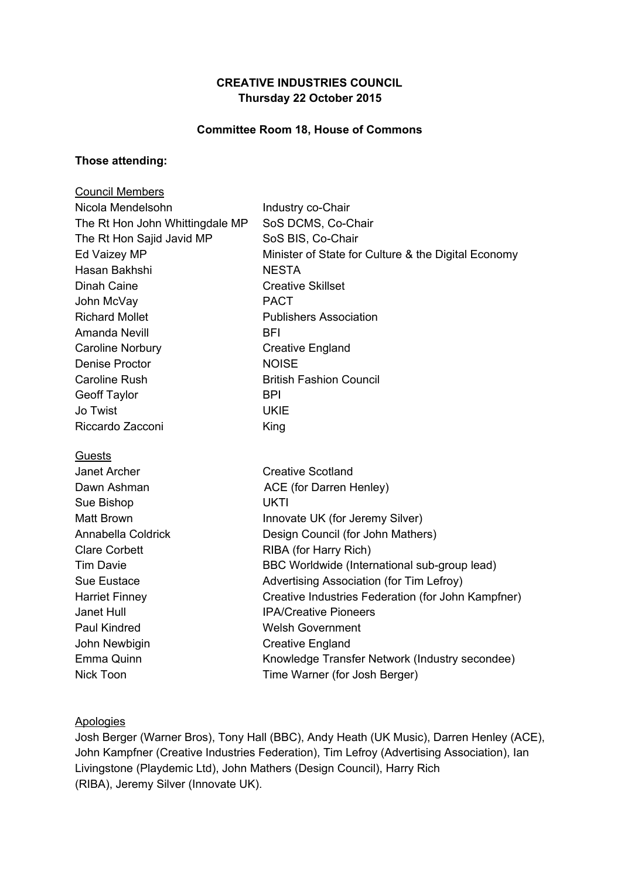# **CREATIVE INDUSTRIES COUNCIL Thursday 22 October 2015**

#### **Committee Room 18, House of Commons**

#### **Those attending:**

| <b>Council Members</b>          |                                                     |
|---------------------------------|-----------------------------------------------------|
| Nicola Mendelsohn               | Industry co-Chair                                   |
| The Rt Hon John Whittingdale MP | SoS DCMS, Co-Chair                                  |
| The Rt Hon Sajid Javid MP       | SoS BIS, Co-Chair                                   |
| Ed Vaizey MP                    | Minister of State for Culture & the Digital Economy |
| Hasan Bakhshi                   | <b>NESTA</b>                                        |
| Dinah Caine                     | <b>Creative Skillset</b>                            |
| John McVay                      | <b>PACT</b>                                         |
| <b>Richard Mollet</b>           | <b>Publishers Association</b>                       |
| Amanda Nevill                   | <b>BFI</b>                                          |
| <b>Caroline Norbury</b>         | <b>Creative England</b>                             |
| <b>Denise Proctor</b>           | <b>NOISE</b>                                        |
| <b>Caroline Rush</b>            | <b>British Fashion Council</b>                      |
| <b>Geoff Taylor</b>             | <b>BPI</b>                                          |
| Jo Twist                        | <b>UKIE</b>                                         |
| Riccardo Zacconi                | King                                                |
| Guests                          |                                                     |
| Janet Archer                    | <b>Creative Scotland</b>                            |
| Dawn Ashman                     | ACE (for Darren Henley)                             |
| Sue Bishop                      | <b>UKTI</b>                                         |
| <b>Matt Brown</b>               | Innovate UK (for Jeremy Silver)                     |
| Annabella Coldrick              | Design Council (for John Mathers)                   |
| <b>Clare Corbett</b>            | RIBA (for Harry Rich)                               |
| <b>Tim Davie</b>                | BBC Worldwide (International sub-group lead)        |
| Sue Eustace                     | Advertising Association (for Tim Lefroy)            |
| <b>Harriet Finney</b>           | Creative Industries Federation (for John Kampfner)  |
| Janet Hull                      | <b>IPA/Creative Pioneers</b>                        |
| <b>Paul Kindred</b>             | <b>Welsh Government</b>                             |
| John Newbigin                   | <b>Creative England</b>                             |
| Emma Quinn                      | Knowledge Transfer Network (Industry secondee)      |
| <b>Nick Toon</b>                | Time Warner (for Josh Berger)                       |
|                                 |                                                     |

### **Apologies**

Josh Berger (Warner Bros), Tony Hall (BBC), Andy Heath (UK Music), Darren Henley (ACE), John Kampfner (Creative Industries Federation), Tim Lefroy (Advertising Association), Ian Livingstone (Playdemic Ltd), John Mathers (Design Council), Harry Rich (RIBA), Jeremy Silver (Innovate UK).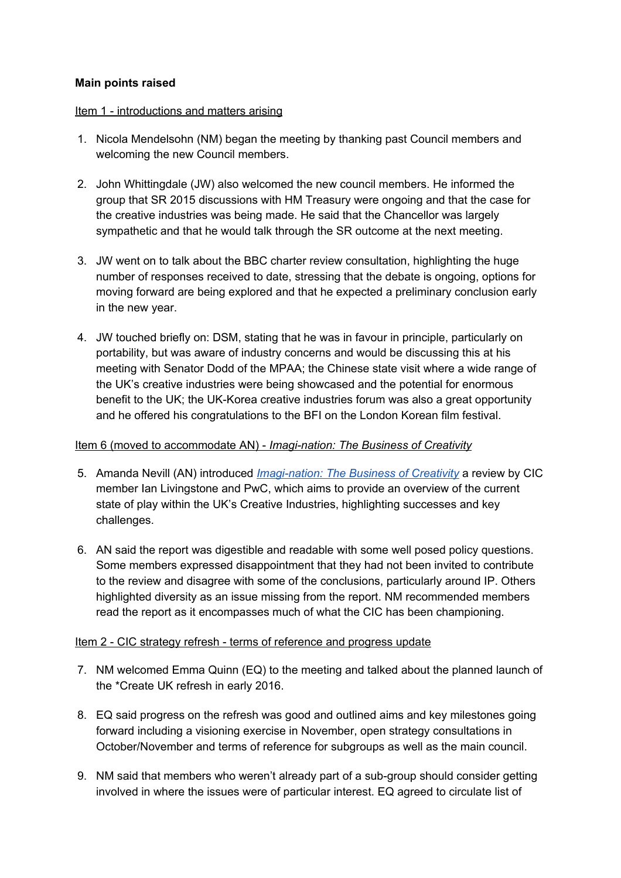### **Main points raised**

#### Item 1 - introductions and matters arising

- 1. Nicola Mendelsohn (NM) began the meeting by thanking past Council members and welcoming the new Council members.
- 2. John Whittingdale (JW) also welcomed the new council members. He informed the group that SR 2015 discussions with HM Treasury were ongoing and that the case for the creative industries was being made. He said that the Chancellor was largely sympathetic and that he would talk through the SR outcome at the next meeting.
- 3. JW went on to talk about the BBC charter review consultation, highlighting the huge number of responses received to date, stressing that the debate is ongoing, options for moving forward are being explored and that he expected a preliminary conclusion early in the new year.
- 4. JW touched briefly on: DSM, stating that he was in favour in principle, particularly on portability, but was aware of industry concerns and would be discussing this at his meeting with Senator Dodd of the MPAA; the Chinese state visit where a wide range of the UK's creative industries were being showcased and the potential for enormous benefit to the UK; the UK-Korea creative industries forum was also a great opportunity and he offered his congratulations to the BFI on the London Korean film festival.

### Item 6 (moved to accommodate AN) - *Imagi-nation: The Business of Creativity*

- 5. Amanda Nevill (AN) introduced *[Imagi-nation:](http://www.pwc.co.uk/industries/entertainment-media/insights/imagi-nation.html) The Business of Creativity* a review by CIC member Ian Livingstone and PwC, which aims to provide an overview of the current state of play within the UK's Creative Industries, highlighting successes and key challenges.
- 6. AN said the report was digestible and readable with some well posed policy questions. Some members expressed disappointment that they had not been invited to contribute to the review and disagree with some of the conclusions, particularly around IP. Others highlighted diversity as an issue missing from the report. NM recommended members read the report as it encompasses much of what the CIC has been championing.

#### Item 2 - CIC strategy refresh - terms of reference and progress update

- 7. NM welcomed Emma Quinn (EQ) to the meeting and talked about the planned launch of the \*Create UK refresh in early 2016.
- 8. EQ said progress on the refresh was good and outlined aims and key milestones going forward including a visioning exercise in November, open strategy consultations in October/November and terms of reference for subgroups as well as the main council.
- 9. NM said that members who weren't already part of a sub-group should consider getting involved in where the issues were of particular interest. EQ agreed to circulate list of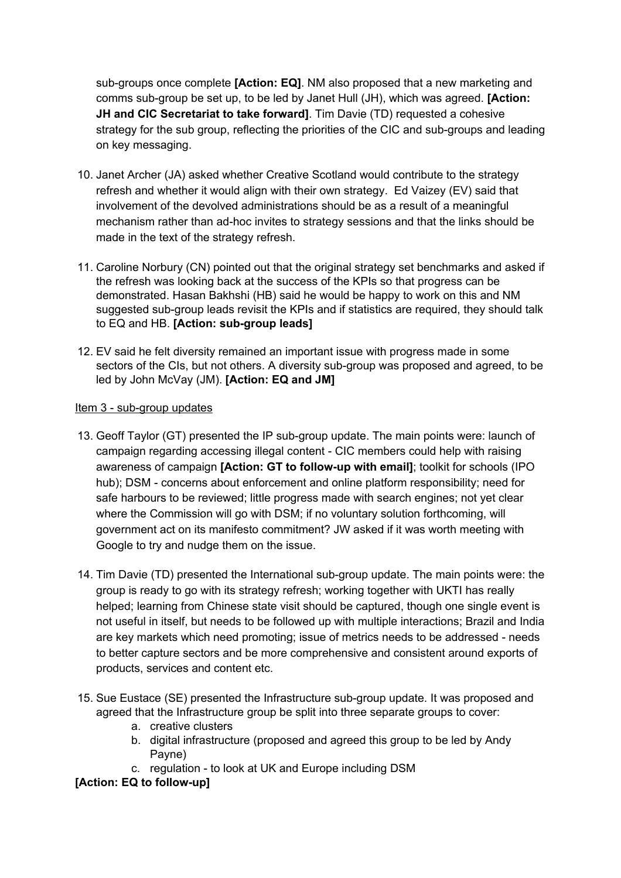sub-groups once complete **[Action: EQ]**. NM also proposed that a new marketing and comms sub-group be set up, to be led by Janet Hull (JH), which was agreed. **[Action: JH and CIC Secretariat to take forward]**. Tim Davie (TD) requested a cohesive strategy for the sub group, reflecting the priorities of the CIC and sub-groups and leading on key messaging.

- 10. Janet Archer (JA) asked whether Creative Scotland would contribute to the strategy refresh and whether it would align with their own strategy. Ed Vaizey (EV) said that involvement of the devolved administrations should be as a result of a meaningful mechanism rather than ad-hoc invites to strategy sessions and that the links should be made in the text of the strategy refresh.
- 11. Caroline Norbury (CN) pointed out that the original strategy set benchmarks and asked if the refresh was looking back at the success of the KPIs so that progress can be demonstrated. Hasan Bakhshi (HB) said he would be happy to work on this and NM suggested sub-group leads revisit the KPIs and if statistics are required, they should talk to EQ and HB. **[Action: sub-group leads]**
- 12. EV said he felt diversity remained an important issue with progress made in some sectors of the CIs, but not others. A diversity sub-group was proposed and agreed, to be led by John McVay (JM). **[Action: EQ and JM]**

## Item 3 - sub-group updates

- 13. Geoff Taylor (GT) presented the IP sub-group update. The main points were: launch of campaign regarding accessing illegal content - CIC members could help with raising awareness of campaign **[Action: GT to follow-up with email]**; toolkit for schools (IPO hub); DSM - concerns about enforcement and online platform responsibility; need for safe harbours to be reviewed; little progress made with search engines; not yet clear where the Commission will go with DSM; if no voluntary solution forthcoming, will government act on its manifesto commitment? JW asked if it was worth meeting with Google to try and nudge them on the issue.
- 14. Tim Davie (TD) presented the International sub-group update. The main points were: the group is ready to go with its strategy refresh; working together with UKTI has really helped; learning from Chinese state visit should be captured, though one single event is not useful in itself, but needs to be followed up with multiple interactions; Brazil and India are key markets which need promoting; issue of metrics needs to be addressed - needs to better capture sectors and be more comprehensive and consistent around exports of products, services and content etc.
- 15. Sue Eustace (SE) presented the Infrastructure sub-group update. It was proposed and agreed that the Infrastructure group be split into three separate groups to cover:
	- a. creative clusters
	- b. digital infrastructure (proposed and agreed this group to be led by Andy Payne)
	- c. regulation to look at UK and Europe including DSM

# **[Action: EQ to follow-up]**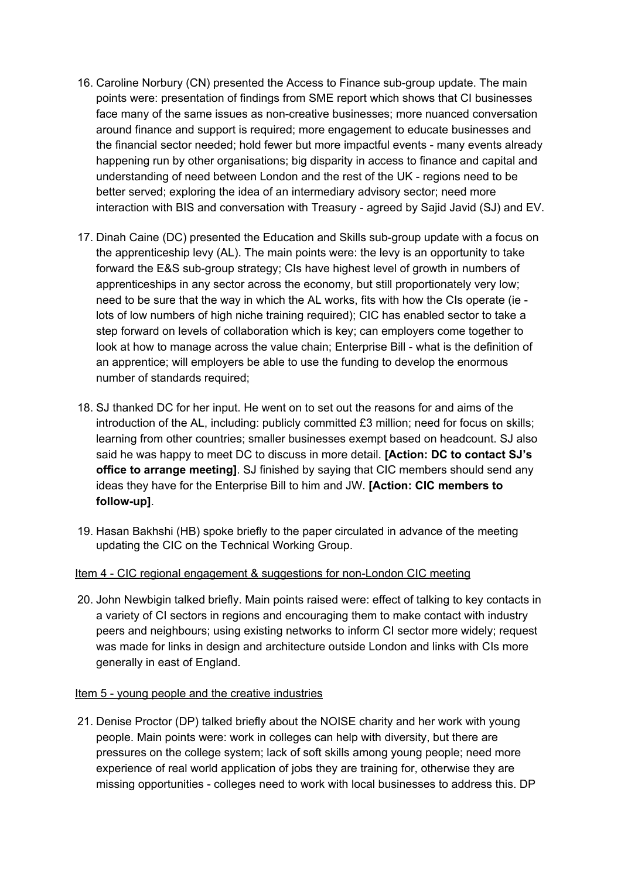- 16. Caroline Norbury (CN) presented the Access to Finance sub-group update. The main points were: presentation of findings from SME report which shows that CI businesses face many of the same issues as non-creative businesses; more nuanced conversation around finance and support is required; more engagement to educate businesses and the financial sector needed; hold fewer but more impactful events - many events already happening run by other organisations; big disparity in access to finance and capital and understanding of need between London and the rest of the UK - regions need to be better served; exploring the idea of an intermediary advisory sector; need more interaction with BIS and conversation with Treasury - agreed by Sajid Javid (SJ) and EV.
- 17. Dinah Caine (DC) presented the Education and Skills sub-group update with a focus on the apprenticeship levy (AL). The main points were: the levy is an opportunity to take forward the E&S sub-group strategy; CIs have highest level of growth in numbers of apprenticeships in any sector across the economy, but still proportionately very low; need to be sure that the way in which the AL works, fits with how the CIs operate (ie lots of low numbers of high niche training required); CIC has enabled sector to take a step forward on levels of collaboration which is key; can employers come together to look at how to manage across the value chain; Enterprise Bill - what is the definition of an apprentice; will employers be able to use the funding to develop the enormous number of standards required;
- 18. SJ thanked DC for her input. He went on to set out the reasons for and aims of the introduction of the AL, including: publicly committed £3 million; need for focus on skills; learning from other countries; smaller businesses exempt based on headcount. SJ also said he was happy to meet DC to discuss in more detail. **[Action: DC to contact SJ's office to arrange meeting]**. SJ finished by saying that CIC members should send any ideas they have for the Enterprise Bill to him and JW. **[Action: CIC members to follow-up]**.
- 19. Hasan Bakhshi (HB) spoke briefly to the paper circulated in advance of the meeting updating the CIC on the Technical Working Group.

#### Item 4 - CIC regional engagement & suggestions for non-London CIC meeting

20. John Newbigin talked briefly. Main points raised were: effect of talking to key contacts in a variety of CI sectors in regions and encouraging them to make contact with industry peers and neighbours; using existing networks to inform CI sector more widely; request was made for links in design and architecture outside London and links with CIs more generally in east of England.

#### Item 5 - young people and the creative industries

21. Denise Proctor (DP) talked briefly about the NOISE charity and her work with young people. Main points were: work in colleges can help with diversity, but there are pressures on the college system; lack of soft skills among young people; need more experience of real world application of jobs they are training for, otherwise they are missing opportunities - colleges need to work with local businesses to address this. DP